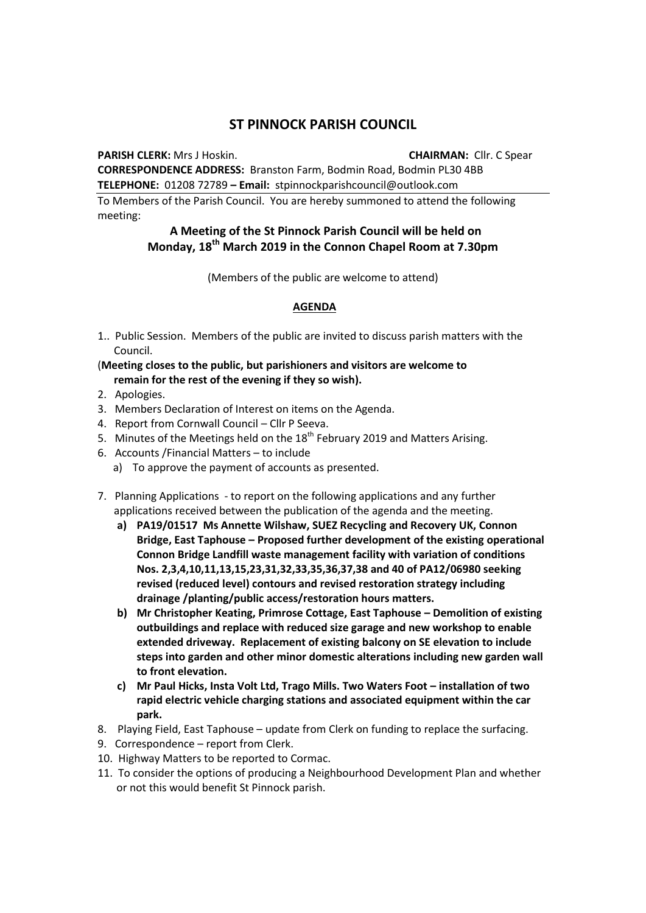## **ST PINNOCK PARISH COUNCIL**

**PARISH CLERK:** Mrs J Hoskin. **CHAIRMAN:** Cllr. C Spear

**CORRESPONDENCE ADDRESS:** Branston Farm, Bodmin Road, Bodmin PL30 4BB **TELEPHONE:** 01208 72789 **– Email:** stpinnockparishcouncil@outlook.com

To Members of the Parish Council. You are hereby summoned to attend the following meeting:

## **A Meeting of the St Pinnock Parish Council will be held on Monday, 18th March 2019 in the Connon Chapel Room at 7.30pm**

(Members of the public are welcome to attend)

## **AGENDA**

1.. Public Session. Members of the public are invited to discuss parish matters with the Council.

## (**Meeting closes to the public, but parishioners and visitors are welcome to remain for the rest of the evening if they so wish).**

- 2. Apologies.
- 3. Members Declaration of Interest on items on the Agenda.
- 4. Report from Cornwall Council Cllr P Seeva.
- 5. Minutes of the Meetings held on the  $18<sup>th</sup>$  February 2019 and Matters Arising.
- 6. Accounts /Financial Matters to include
	- a) To approve the payment of accounts as presented.
- 7. Planning Applications to report on the following applications and any further applications received between the publication of the agenda and the meeting.
	- **a) PA19/01517 Ms Annette Wilshaw, SUEZ Recycling and Recovery UK, Connon Bridge, East Taphouse – Proposed further development of the existing operational Connon Bridge Landfill waste management facility with variation of conditions Nos. 2,3,4,10,11,13,15,23,31,32,33,35,36,37,38 and 40 of PA12/06980 seeking revised (reduced level) contours and revised restoration strategy including drainage /planting/public access/restoration hours matters.**
	- **b) Mr Christopher Keating, Primrose Cottage, East Taphouse – Demolition of existing outbuildings and replace with reduced size garage and new workshop to enable extended driveway. Replacement of existing balcony on SE elevation to include steps into garden and other minor domestic alterations including new garden wall to front elevation.**
	- **c) Mr Paul Hicks, Insta Volt Ltd, Trago Mills. Two Waters Foot – installation of two rapid electric vehicle charging stations and associated equipment within the car park.**
- 8. Playing Field, East Taphouse update from Clerk on funding to replace the surfacing.
- 9. Correspondence report from Clerk.
- 10. Highway Matters to be reported to Cormac.
- 11. To consider the options of producing a Neighbourhood Development Plan and whether or not this would benefit St Pinnock parish.